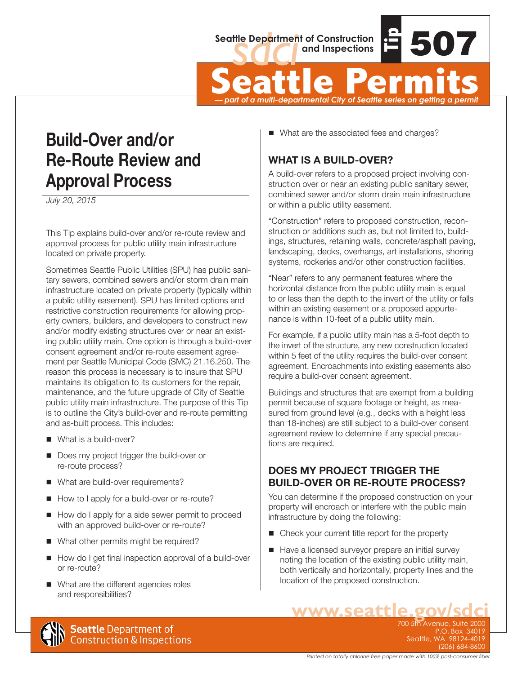

Seattle Department of Construction<br>
Seattle Permits<br>
Seattle Permits<br>
Permits<br>
Permits<br>
Permits<br>
Permits<br>
Permits<br>
Permits<br>
Permits<br>
Permits<br>
Permits<br>
Permits<br>
Permits<br>
Permits<br>
Permits<br>
Permits<br>
Permits<br>
Permits<br>
Permits<br>

#### *— part of a multi-departmental City of Seattle series on getting a permit*

# **Build-Over and/or Re-Route Review and Approval Process**

*July 20, 2015*

This Tip explains build-over and/or re-route review and approval process for public utility main infrastructure located on private property.

Sometimes Seattle Public Utilities (SPU) has public sanitary sewers, combined sewers and/or storm drain main infrastructure located on private property (typically within a public utility easement). SPU has limited options and restrictive construction requirements for allowing property owners, builders, and developers to construct new and/or modify existing structures over or near an existing public utility main. One option is through a build-over consent agreement and/or re-route easement agreement per Seattle Municipal Code (SMC) 21.16.250. The reason this process is necessary is to insure that SPU maintains its obligation to its customers for the repair, maintenance, and the future upgrade of City of Seattle public utility main infrastructure. The purpose of this Tip is to outline the City's build-over and re-route permitting and as-built process. This includes:

- $\blacksquare$  What is a build-over?
- Does my project trigger the build-over or re-route process?
- What are build-over requirements?
- How to I apply for a build-over or re-route?
- How do I apply for a side sewer permit to proceed with an approved build-over or re-route?
- What other permits might be required?
- How do I get final inspection approval of a build-over or re-route?
- What are the different agencies roles and responsibilities?

■ What are the associated fees and charges?

### **WHAT IS A BUILD-OVER?**

A build-over refers to a proposed project involving construction over or near an existing public sanitary sewer, combined sewer and/or storm drain main infrastructure or within a public utility easement.

"Construction" refers to proposed construction, reconstruction or additions such as, but not limited to, buildings, structures, retaining walls, concrete/asphalt paving, landscaping, decks, overhangs, art installations, shoring systems, rockeries and/or other construction facilities.

"Near" refers to any permanent features where the horizontal distance from the public utility main is equal to or less than the depth to the invert of the utility or falls within an existing easement or a proposed appurtenance is within 10-feet of a public utility main.

For example, if a public utility main has a 5-foot depth to the invert of the structure, any new construction located within 5 feet of the utility requires the build-over consent agreement. Encroachments into existing easements also require a build-over consent agreement.

Buildings and structures that are exempt from a building permit because of square footage or height, as measured from ground level (e.g., decks with a height less than 18-inches) are still subject to a build-over consent agreement review to determine if any special precautions are required.

### **DOES MY PROJECT TRIGGER THE BUILD-OVER OR RE-ROUTE PROCESS?**

You can determine if the proposed construction on your property will encroach or interfere with the public main infrastructure by doing the following:

- Check your current title report for the property
- Have a licensed surveyor prepare an initial survey noting the location of the existing public utility main, both vertically and horizontally, property lines and the location of the proposed construction.



**WWW.Seattle.gov/sdc** P.O. Box 34019 Seattle, WA 98124-4019 (206) 684-8600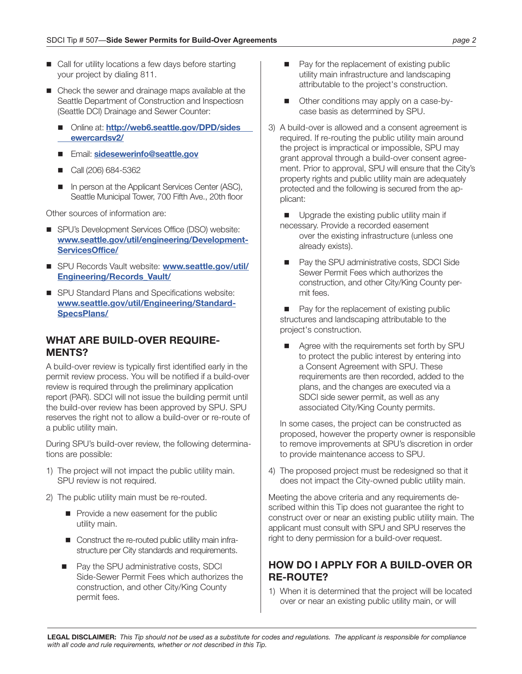- Call for utility locations a few days before starting your project by dialing 811.
- Check the sewer and drainage maps available at the Seattle Department of Construction and Inspectiosn (Seattle DCI) Drainage and Sewer Counter:
	- Online at: **http://web6.seattle.gov/DPD/sides  [ewercardsv2/](http://web6.seattle.gov/DPD/sidesewercardsv2/)**
	- Email: **[sidesewerinfo@seattle.gov](mailto:sidesewerinfo@seattle.gov)**
	- Call (206) 684-5362
	- In person at the Applicant Services Center (ASC), Seattle Municipal Tower, 700 Fifth Ave., 20th floor

Other sources of information are:

- SPU's Development Services Office (DSO) website: **[www.seattle.gov/util/engineering/Development-](http://www.seattle.gov/util/engineering/DevelopmentServicesOffice/)[ServicesOffice/](http://www.seattle.gov/util/engineering/DevelopmentServicesOffice/)**
- SPU Records Vault website: **[www.seattle.gov/util/](http://www.seattle.gov/util/Engineering/Records_Vault/) [Engineering/Records\\_Vault/](http://www.seattle.gov/util/Engineering/Records_Vault/)**
- SPU Standard Plans and Specifications website: **[www.seattle.gov/util/Engineering/Standard-](http://www.seattle.gov/util/Engineering/StandardSpecsPlans/)[SpecsPlans/](http://www.seattle.gov/util/Engineering/StandardSpecsPlans/)**

#### **WHAT ARE BUILD-OVER REQUIRE-MENTS?**

A build-over review is typically first identified early in the permit review process. You will be notified if a build-over review is required through the preliminary application report (PAR). SDCI will not issue the building permit until the build-over review has been approved by SPU. SPU reserves the right not to allow a build-over or re-route of a public utility main.

During SPU's build-over review, the following determinations are possible:

- 1) The project will not impact the public utility main. SPU review is not required.
- 2) The public utility main must be re-routed.
	- $\blacksquare$  Provide a new easement for the public utility main.
	- Construct the re-routed public utility main infrastructure per City standards and requirements.
	- Pay the SPU administrative costs, SDCI Side-Sewer Permit Fees which authorizes the construction, and other City/King County permit fees.
- $\blacksquare$  Pay for the replacement of existing public utility main infrastructure and landscaping attributable to the project's construction.
- Other conditions may apply on a case-bycase basis as determined by SPU.
- 3) A build-over is allowed and a consent agreement is required. If re-routing the public utility main around the project is impractical or impossible, SPU may grant approval through a build-over consent agreement. Prior to approval, SPU will ensure that the City's property rights and public utility main are adequately protected and the following is secured from the applicant:

Upgrade the existing public utility main if necessary. Provide a recorded easement over the existing infrastructure (unless one already exists).

■ Pay the SPU administrative costs, SDCI Side Sewer Permit Fees which authorizes the construction, and other City/King County permit fees.

Pay for the replacement of existing public structures and landscaping attributable to the project's construction.

Agree with the requirements set forth by SPU to protect the public interest by entering into a Consent Agreement with SPU. These requirements are then recorded, added to the plans, and the changes are executed via a SDCI side sewer permit, as well as any associated City/King County permits.

In some cases, the project can be constructed as proposed, however the property owner is responsible to remove improvements at SPU's discretion in order to provide maintenance access to SPU.

4) The proposed project must be redesigned so that it does not impact the City-owned public utility main.

Meeting the above criteria and any requirements described within this Tip does not guarantee the right to construct over or near an existing public utility main. The applicant must consult with SPU and SPU reserves the right to deny permission for a build-over request.

#### **HOW DO I APPLY FOR A BUILD-OVER OR RE-ROUTE?**

1) When it is determined that the project will be located over or near an existing public utility main, or will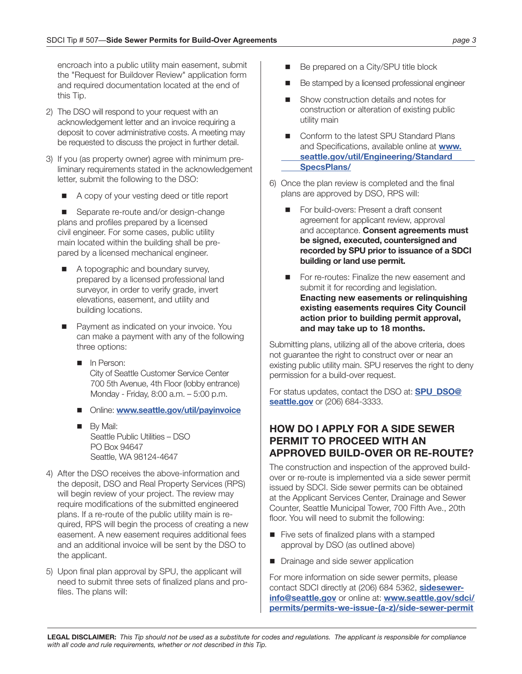encroach into a public utility main easement, submit the "Request for Buildover Review" application form and required documentation located at the end of this Tip.

- 2) The DSO will respond to your request with an acknowledgement letter and an invoice requiring a deposit to cover administrative costs. A meeting may be requested to discuss the project in further detail.
- 3) If you (as property owner) agree with minimum preliminary requirements stated in the acknowledgement letter, submit the following to the DSO:
	- n A copy of your vesting deed or title report

Separate re-route and/or design-change plans and profiles prepared by a licensed civil engineer. For some cases, public utility main located within the building shall be prepared by a licensed mechanical engineer.

- A topographic and boundary survey, prepared by a licensed professional land surveyor, in order to verify grade, invert elevations, easement, and utility and building locations.
- Payment as indicated on your invoice. You can make a payment with any of the following three options:
	- **n** In Person: City of Seattle Customer Service Center 700 5th Avenue, 4th Floor (lobby entrance) Monday - Friday, 8:00 a.m. – 5:00 p.m.
	- Online: **www.seattle.gov/util/payinvoice**
	- **By Mail:**  Seattle Public Utilities – DSO PO Box 94647 Seattle, WA 98124-4647
- 4) After the DSO receives the above-information and the deposit, DSO and Real Property Services (RPS) will begin review of your project. The review may require modifications of the submitted engineered plans. If a re-route of the public utility main is required, RPS will begin the process of creating a new easement. A new easement requires additional fees and an additional invoice will be sent by the DSO to the applicant.
- 5) Upon final plan approval by SPU, the applicant will need to submit three sets of finalized plans and profiles. The plans will:
- Be prepared on a City/SPU title block
- Be stamped by a licensed professional engineer
- Show construction details and notes for construction or alteration of existing public utility main
- Conform to the latest SPU Standard Plans and Specifications, available online at **[www.](http://www.seattle.gov/util/Engineering/StandardSpecsPlans/) [seattle.gov/util/Engineering/Standard](http://www.seattle.gov/util/Engineering/StandardSpecsPlans/)  [SpecsPlans/](http://www.seattle.gov/util/Engineering/StandardSpecsPlans/)**
- 6) Once the plan review is completed and the final plans are approved by DSO, RPS will:
	- For build-overs: Present a draft consent agreement for applicant review, approval and acceptance. **Consent agreements must be signed, executed, countersigned and recorded by SPU prior to issuance of a SDCI building or land use permit.**
	- For re-routes: Finalize the new easement and submit it for recording and legislation. **Enacting new easements or relinquishing existing easements requires City Council action prior to building permit approval, and may take up to 18 months.**

Submitting plans, utilizing all of the above criteria, does not guarantee the right to construct over or near an existing public utility main. SPU reserves the right to deny permission for a build-over request.

For status updates, contact the DSO at: **[SPU\\_DSO@](mailto:SPU_DSO@seattle.gov) [seattle.gov](mailto:SPU_DSO@seattle.gov)** or (206) 684-3333.

#### **HOW DO I APPLY FOR A SIDE SEWER PERMIT TO PROCEED WITH AN APPROVED BUILD-OVER OR RE-ROUTE?**

The construction and inspection of the approved buildover or re-route is implemented via a side sewer permit issued by SDCI. Side sewer permits can be obtained at the Applicant Services Center, Drainage and Sewer Counter, Seattle Municipal Tower, 700 Fifth Ave., 20th floor. You will need to submit the following:

- $\blacksquare$  Five sets of finalized plans with a stamped approval by DSO (as outlined above)
- n Drainage and side sewer application

For more information on side sewer permits, please contact SDCI directly at (206) 684 5362, **[sidesewer](mailto:sidesewerinfo@seattle.gov)[info@seattle.gov](mailto:sidesewerinfo@seattle.gov)** or online at: **[www.seattle.gov/sdci/](http://www.seattle.gov/sdci/permits/permits-we-issue-(a-z)/side-sewer-permit) [permits/permits-we-issue-\(a-z\)/side-sewer-permit](http://www.seattle.gov/sdci/permits/permits-we-issue-(a-z)/side-sewer-permit)**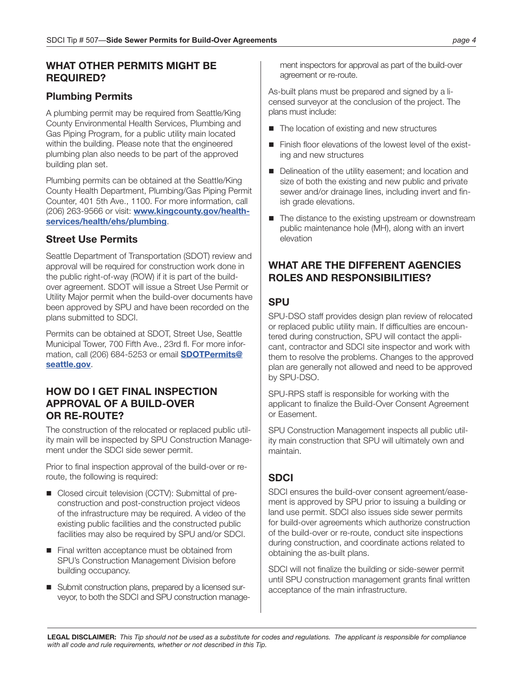#### **WHAT OTHER PERMITS MIGHT BE REQUIRED?**

#### **Plumbing Permits**

A plumbing permit may be required from Seattle/King County Environmental Health Services, Plumbing and Gas Piping Program, for a public utility main located within the building. Please note that the engineered plumbing plan also needs to be part of the approved building plan set.

Plumbing permits can be obtained at the Seattle/King County Health Department, Plumbing/Gas Piping Permit Counter, 401 5th Ave., 1100. For more information, call (206) 263-9566 or visit: **[www.kingcounty.gov/health](http://www.kingcounty.gov/healthservices/health/ehs/plumbing)[services/health/ehs/plumbing](http://www.kingcounty.gov/healthservices/health/ehs/plumbing)**.

#### **Street Use Permits**

Seattle Department of Transportation (SDOT) review and approval will be required for construction work done in the public right-of-way (ROW) if it is part of the buildover agreement. SDOT will issue a Street Use Permit or Utility Major permit when the build-over documents have been approved by SPU and have been recorded on the plans submitted to SDCI.

Permits can be obtained at SDOT, Street Use, Seattle Municipal Tower, 700 Fifth Ave., 23rd fl. For more information, call (206) 684-5253 or email **[SDOTPermits@](mailto:SDOTPermits@seattle.gov) [seattle.gov](mailto:SDOTPermits@seattle.gov)**.

#### **HOW DO I GET FINAL INSPECTION APPROVAL OF A BUILD-OVER OR RE-ROUTE?**

The construction of the relocated or replaced public utility main will be inspected by SPU Construction Management under the SDCI side sewer permit.

Prior to final inspection approval of the build-over or reroute, the following is required:

- Closed circuit television (CCTV): Submittal of preconstruction and post-construction project videos of the infrastructure may be required. A video of the existing public facilities and the constructed public facilities may also be required by SPU and/or SDCI.
- $\blacksquare$  Final written acceptance must be obtained from SPU's Construction Management Division before building occupancy.
- Submit construction plans, prepared by a licensed surveyor, to both the SDCI and SPU construction manage-

ment inspectors for approval as part of the build-over agreement or re-route.

As-built plans must be prepared and signed by a licensed surveyor at the conclusion of the project. The plans must include:

- $\blacksquare$  The location of existing and new structures
- $\blacksquare$  Finish floor elevations of the lowest level of the existing and new structures
- Delineation of the utility easement; and location and size of both the existing and new public and private sewer and/or drainage lines, including invert and finish grade elevations.
- $\blacksquare$  The distance to the existing upstream or downstream public maintenance hole (MH), along with an invert elevation

#### **WHAT ARE THE DIFFERENT AGENCIES ROLES AND RESPONSIBILITIES?**

#### **SPU**

SPU-DSO staff provides design plan review of relocated or replaced public utility main. If difficulties are encountered during construction, SPU will contact the applicant, contractor and SDCI site inspector and work with them to resolve the problems. Changes to the approved plan are generally not allowed and need to be approved by SPU-DSO.

SPU-RPS staff is responsible for working with the applicant to finalize the Build-Over Consent Agreement or Easement.

SPU Construction Management inspects all public utility main construction that SPU will ultimately own and maintain.

#### **SDCI**

SDCI ensures the build-over consent agreement/easement is approved by SPU prior to issuing a building or land use permit. SDCI also issues side sewer permits for build-over agreements which authorize construction of the build-over or re-route, conduct site inspections during construction, and coordinate actions related to obtaining the as-built plans.

SDCI will not finalize the building or side-sewer permit until SPU construction management grants final written acceptance of the main infrastructure.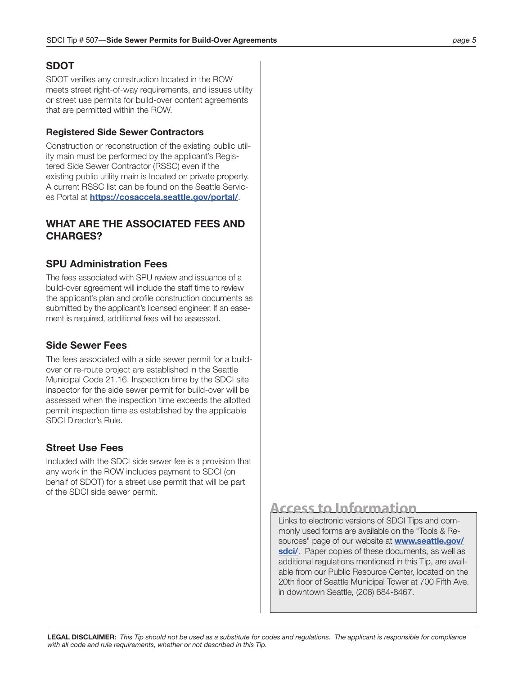#### **SDOT**

SDOT verifies any construction located in the ROW meets street right-of-way requirements, and issues utility or street use permits for build-over content agreements that are permitted within the ROW.

#### **Registered Side Sewer Contractors**

Construction or reconstruction of the existing public utility main must be performed by the applicant's Registered Side Sewer Contractor (RSSC) even if the existing public utility main is located on private property. A current RSSC list can be found on the Seattle Services Portal at **<https://cosaccela.seattle.gov/portal/>**.

#### **WHAT ARE THE ASSOCIATED FEES AND CHARGES?**

#### **SPU Administration Fees**

The fees associated with SPU review and issuance of a build-over agreement will include the staff time to review the applicant's plan and profile construction documents as submitted by the applicant's licensed engineer. If an easement is required, additional fees will be assessed.

#### **Side Sewer Fees**

The fees associated with a side sewer permit for a buildover or re-route project are established in the Seattle Municipal Code 21.16. Inspection time by the SDCI site inspector for the side sewer permit for build-over will be assessed when the inspection time exceeds the allotted permit inspection time as established by the applicable SDCI Director's Rule.

#### **Street Use Fees**

Included with the SDCI side sewer fee is a provision that any work in the ROW includes payment to SDCI (on behalf of SDOT) for a street use permit that will be part of the SDCI side sewer permit.

## **Access to Information**

Links to electronic versions of SDCI Tips and commonly used forms are available on the "Tools & Resources" page of our website at **[www.seattle.gov/](http://www.seattle.gov/sdci/)** [sdci/](http://www.seattle.gov/sdci/). Paper copies of these documents, as well as additional regulations mentioned in this Tip, are available from our Public Resource Center, located on the 20th floor of Seattle Municipal Tower at 700 Fifth Ave. in downtown Seattle, (206) 684-8467.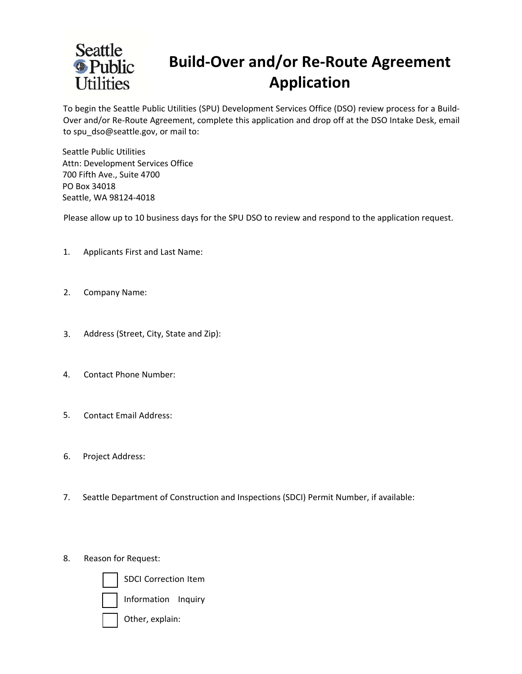

## **Build-Over and/or Re-Route Agreement Application**

To begin the Seattle Public Utilities (SPU) Development Services Office (DSO) review process for a Build-Over and/or Re-Route Agreement, complete this application and drop off at the DSO Intake Desk, email to spu\_dso@seattle.gov, or mail to:

Seattle Public Utilities Attn: Development Services Office 700 Fifth Ave., Suite 4700 PO Box 34018 Seattle, WA 98124-4018

Please allow up to 10 business days for the SPU DSO to review and respond to the application request.

- 1. Applicants First and Last Name:
- 2. Company Name:
- 3. Address (Street, City, State and Zip):
- 4. Contact Phone Number:
- 5. Contact Email Address:
- 6. Project Address:
- 7. Seattle Department of Construction and Inspections (SDCI) Permit Number, if available:
- 8. Reason for Request:



SDCI Correction Item

Information Inquiry

Other, explain: